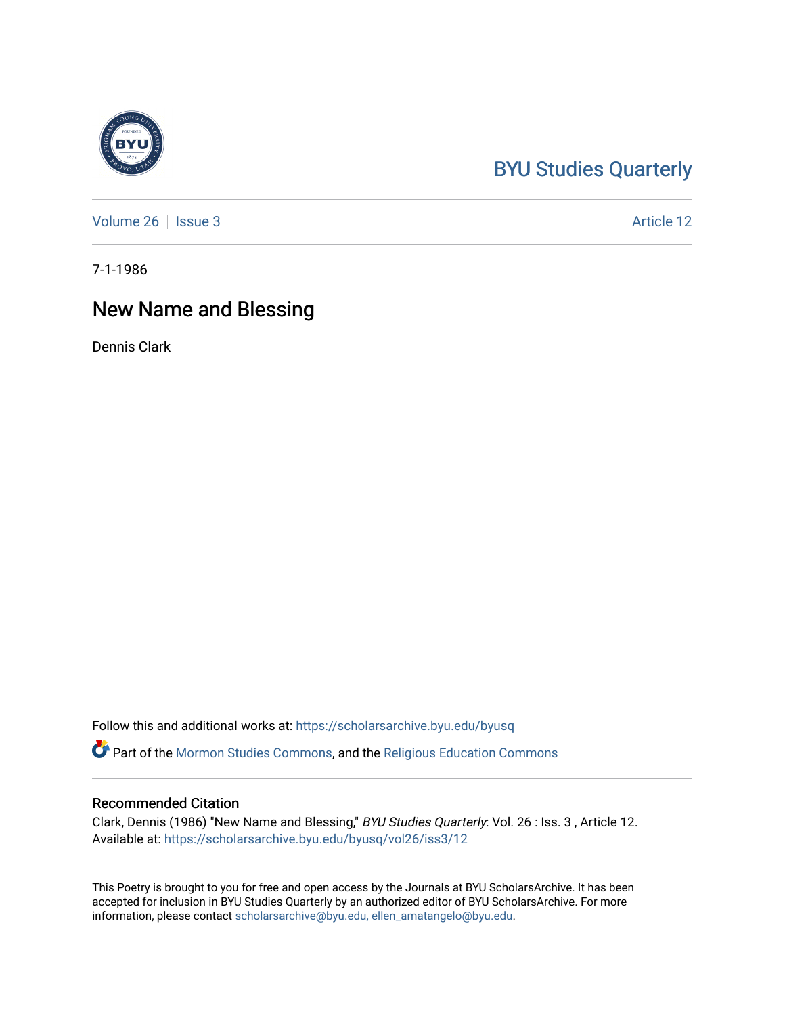## [BYU Studies Quarterly](https://scholarsarchive.byu.edu/byusq)

[Volume 26](https://scholarsarchive.byu.edu/byusq/vol26) | [Issue 3](https://scholarsarchive.byu.edu/byusq/vol26/iss3) Article 12

7-1-1986

## New Name and Blessing

Dennis Clark

Follow this and additional works at: [https://scholarsarchive.byu.edu/byusq](https://scholarsarchive.byu.edu/byusq?utm_source=scholarsarchive.byu.edu%2Fbyusq%2Fvol26%2Fiss3%2F12&utm_medium=PDF&utm_campaign=PDFCoverPages) 

Part of the [Mormon Studies Commons](http://network.bepress.com/hgg/discipline/1360?utm_source=scholarsarchive.byu.edu%2Fbyusq%2Fvol26%2Fiss3%2F12&utm_medium=PDF&utm_campaign=PDFCoverPages), and the [Religious Education Commons](http://network.bepress.com/hgg/discipline/1414?utm_source=scholarsarchive.byu.edu%2Fbyusq%2Fvol26%2Fiss3%2F12&utm_medium=PDF&utm_campaign=PDFCoverPages) 

## Recommended Citation

Clark, Dennis (1986) "New Name and Blessing," BYU Studies Quarterly: Vol. 26 : Iss. 3 , Article 12. Available at: [https://scholarsarchive.byu.edu/byusq/vol26/iss3/12](https://scholarsarchive.byu.edu/byusq/vol26/iss3/12?utm_source=scholarsarchive.byu.edu%2Fbyusq%2Fvol26%2Fiss3%2F12&utm_medium=PDF&utm_campaign=PDFCoverPages) 

This Poetry is brought to you for free and open access by the Journals at BYU ScholarsArchive. It has been accepted for inclusion in BYU Studies Quarterly by an authorized editor of BYU ScholarsArchive. For more information, please contact [scholarsarchive@byu.edu, ellen\\_amatangelo@byu.edu.](mailto:scholarsarchive@byu.edu,%20ellen_amatangelo@byu.edu)